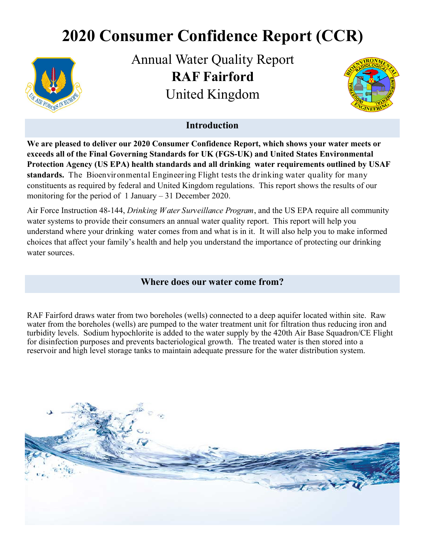# **2020 Consumer Confidence Report (CCR)**



Annual Water Quality Report **RAF Fairford**  United Kingdom



## **Introduction**

**We are pleased to deliver our 2020 Consumer Confidence Report, which shows your water meets or exceeds all of the Final Governing Standards for UK (FGS-UK) and United States Environmental Protection Agency (US EPA) health standards and all drinking water requirements outlined by USAF standards.** The Bioenvironmental Engineering Flight tests the drinking water quality for many constituents as required by federal and United Kingdom regulations. This report shows the results of our monitoring for the period of 1 January – 31 December 2020.

Air Force Instruction 48-144, *Drinking Water Surveillance Program*, and the US EPA require all community water systems to provide their consumers an annual water quality report. This report will help you understand where your drinking water comes from and what is in it. It will also help you to make informed choices that affect your family's health and help you understand the importance of protecting our drinking water sources.

#### **Where does our water come from?**

RAF Fairford draws water from two boreholes (wells) connected to a deep aquifer located within site. Raw water from the boreholes (wells) are pumped to the water treatment unit for filtration thus reducing iron and turbidity levels. Sodium hypochlorite is added to the water supply by the 420th Air Base Squadron/CE Flight for disinfection purposes and prevents bacteriological growth. The treated water is then stored into a reservoir and high level storage tanks to maintain adequate pressure for the water distribution system.

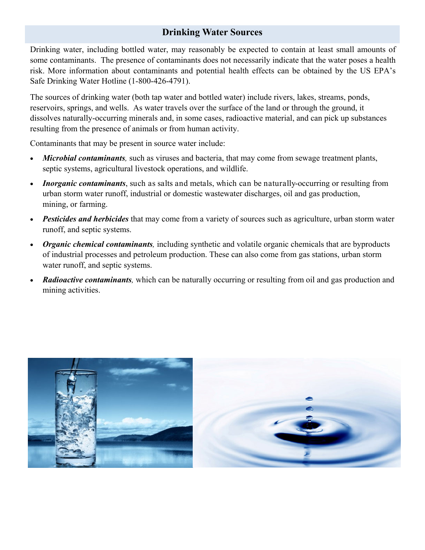# **Drinking Water Sources**

Drinking water, including bottled water, may reasonably be expected to contain at least small amounts of some contaminants. The presence of contaminants does not necessarily indicate that the water poses a health risk. More information about contaminants and potential health effects can be obtained by the US EPA's Safe Drinking Water Hotline (1-800-426-4791).

The sources of drinking water (both tap water and bottled water) include rivers, lakes, streams, ponds, reservoirs, springs, and wells. As water travels over the surface of the land or through the ground, it dissolves naturally-occurring minerals and, in some cases, radioactive material, and can pick up substances resulting from the presence of animals or from human activity.

Contaminants that may be present in source water include:

- *Microbial contaminants,* such as viruses and bacteria, that may come from sewage treatment plants, septic systems, agricultural livestock operations, and wildlife.
- *Inorganic contaminants*, such as salts and metals, which can be naturally-occurring or resulting from urban storm water runoff, industrial or domestic wastewater discharges, oil and gas production, mining, or farming.
- *Pesticides and herbicides* that may come from a variety of sources such as agriculture, urban storm water runoff, and septic systems.
- *Organic chemical contaminants,* including synthetic and volatile organic chemicals that are byproducts of industrial processes and petroleum production. These can also come from gas stations, urban storm water runoff, and septic systems.
- *Radioactive contaminants*, which can be naturally occurring or resulting from oil and gas production and mining activities.

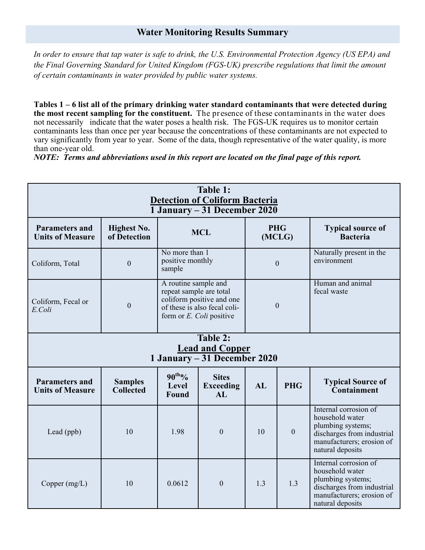## **Water Monitoring Results Summary**

*In order to ensure that tap water is safe to drink, the U.S. Environmental Protection Agency (US EPA) and the Final Governing Standard for United Kingdom (FGS-UK) prescribe regulations that limit the amount of certain contaminants in water provided by public water systems.* 

**Tables 1 – 6 list all of the primary drinking water standard contaminants that were detected during the most recent sampling for the constituent.** The presence of these contaminants in the water does not necessarily indicate that the water poses a health risk. The FGS-UK requires us to monitor certain contaminants less than once per year because the concentrations of these contaminants are not expected to vary significantly from year to year. Some of the data, though representative of the water quality, is more than one-year old.

*NOTE: Terms and abbreviations used in this report are located on the final page of this report.* 

| Table 1:<br><b>Detection of Coliform Bacteria</b><br>1 January – 31 December 2020 |                                    |                                                                                                                                             |                                        |                      |              |                                                                                                                                              |  |
|-----------------------------------------------------------------------------------|------------------------------------|---------------------------------------------------------------------------------------------------------------------------------------------|----------------------------------------|----------------------|--------------|----------------------------------------------------------------------------------------------------------------------------------------------|--|
| <b>Parameters and</b><br><b>Units of Measure</b>                                  | <b>Highest No.</b><br>of Detection | <b>MCL</b>                                                                                                                                  |                                        | <b>PHG</b><br>(MCLG) |              | <b>Typical source of</b><br><b>Bacteria</b>                                                                                                  |  |
| Coliform, Total                                                                   | $\mathbf{0}$                       | No more than 1<br>positive monthly<br>sample                                                                                                |                                        | $\overline{0}$       |              | Naturally present in the<br>environment                                                                                                      |  |
| Coliform, Fecal or<br>E.Coli                                                      | $\boldsymbol{0}$                   | A routine sample and<br>repeat sample are total<br>coliform positive and one<br>of these is also fecal coli-<br>form or $E$ . Coli positive |                                        | $\theta$             |              | Human and animal<br>fecal waste                                                                                                              |  |
| Table 2:<br><b>Lead and Copper</b><br>1 January – 31 December 2020                |                                    |                                                                                                                                             |                                        |                      |              |                                                                                                                                              |  |
| <b>Parameters and</b><br><b>Units of Measure</b>                                  | <b>Samples</b><br><b>Collected</b> | $90^{th}$ %<br>Level<br>Found                                                                                                               | <b>Sites</b><br><b>Exceeding</b><br>AI | AL                   | <b>PHG</b>   | <b>Typical Source of</b><br><b>Containment</b>                                                                                               |  |
| Lead (ppb)                                                                        | 10                                 | 1.98                                                                                                                                        | $\overline{0}$                         | 10                   | $\mathbf{0}$ | Internal corrosion of<br>household water<br>plumbing systems;<br>discharges from industrial<br>manufacturers; erosion of<br>natural deposits |  |
| Copper $(mg/L)$                                                                   | 10                                 | 0.0612                                                                                                                                      | $\theta$                               | 1.3                  | 1.3          | Internal corrosion of<br>household water<br>plumbing systems;<br>discharges from industrial<br>manufacturers; erosion of<br>natural deposits |  |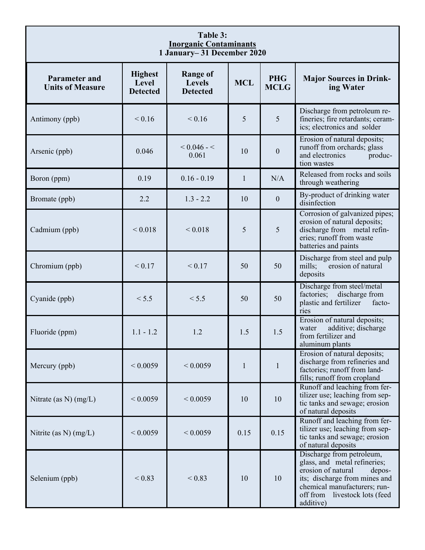| Table 3:<br><b>Inorganic Contaminants</b><br>1 January-31 December 2020 |                                            |                                                     |              |                           |                                                                                                                                                                                                          |  |
|-------------------------------------------------------------------------|--------------------------------------------|-----------------------------------------------------|--------------|---------------------------|----------------------------------------------------------------------------------------------------------------------------------------------------------------------------------------------------------|--|
| <b>Parameter and</b><br><b>Units of Measure</b>                         | <b>Highest</b><br>Level<br><b>Detected</b> | <b>Range of</b><br><b>Levels</b><br><b>Detected</b> | <b>MCL</b>   | <b>PHG</b><br><b>MCLG</b> | <b>Major Sources in Drink-</b><br>ing Water                                                                                                                                                              |  |
| Antimony (ppb)                                                          | < 0.16                                     | < 0.16                                              | 5            | 5                         | Discharge from petroleum re-<br>fineries; fire retardants; ceram-<br>ics; electronics and solder                                                                                                         |  |
| Arsenic (ppb)                                                           | 0.046                                      | $< 0.046 - <$<br>0.061                              | 10           | $\boldsymbol{0}$          | Erosion of natural deposits;<br>runoff from orchards; glass<br>and electronics<br>produc-<br>tion wastes                                                                                                 |  |
| Boron (ppm)                                                             | 0.19                                       | $0.16 - 0.19$                                       | $\mathbf{1}$ | N/A                       | Released from rocks and soils<br>through weathering                                                                                                                                                      |  |
| Bromate (ppb)                                                           | 2.2                                        | $1.3 - 2.2$                                         | 10           | $\boldsymbol{0}$          | By-product of drinking water<br>disinfection                                                                                                                                                             |  |
| Cadmium (ppb)                                                           | ${}_{0.018}$                               | < 0.018                                             | 5            | 5                         | Corrosion of galvanized pipes;<br>erosion of natural deposits;<br>discharge from metal refin-<br>eries; runoff from waste<br>batteries and paints                                                        |  |
| Chromium (ppb)                                                          | < 0.17                                     | < 0.17                                              | 50           | 50                        | Discharge from steel and pulp<br>erosion of natural<br>mills;<br>deposits                                                                                                                                |  |
| Cyanide (ppb)                                                           | < 5.5                                      | < 5.5                                               | 50           | 50                        | Discharge from steel/metal<br>factories;<br>discharge from<br>plastic and fertilizer<br>facto-<br>ries                                                                                                   |  |
| Fluoride (ppm)                                                          | $1.1 - 1.2$                                | 1.2                                                 | 1.5          | 1.5                       | Erosion of natural deposits;<br>additive; discharge<br>water<br>from fertilizer and<br>aluminum plants                                                                                                   |  |
| Mercury (ppb)                                                           | ${}< 0.0059$                               | ${}< 0.0059$                                        | $\mathbf{1}$ | $\mathbf{1}$              | Erosion of natural deposits;<br>discharge from refineries and<br>factories; runoff from land-<br>fills; runoff from cropland                                                                             |  |
| Nitrate (as $N$ ) (mg/L)                                                | ${}< 0.0059$                               | ${}< 0.0059$                                        | 10           | 10                        | Runoff and leaching from fer-<br>tilizer use; leaching from sep-<br>tic tanks and sewage; erosion<br>of natural deposits                                                                                 |  |
| Nitrite (as N) $(mg/L)$                                                 | ${}< 0.0059$                               | ${}< 0.0059$                                        | 0.15         | 0.15                      | Runoff and leaching from fer-<br>tilizer use; leaching from sep-<br>tic tanks and sewage; erosion<br>of natural deposits                                                                                 |  |
| Selenium (ppb)                                                          | ${}_{0.83}$                                | ${}_{0.83}$                                         | 10           | 10                        | Discharge from petroleum,<br>glass, and metal refineries;<br>erosion of natural<br>depos-<br>its; discharge from mines and<br>chemical manufacturers; run-<br>off from livestock lots (feed<br>additive) |  |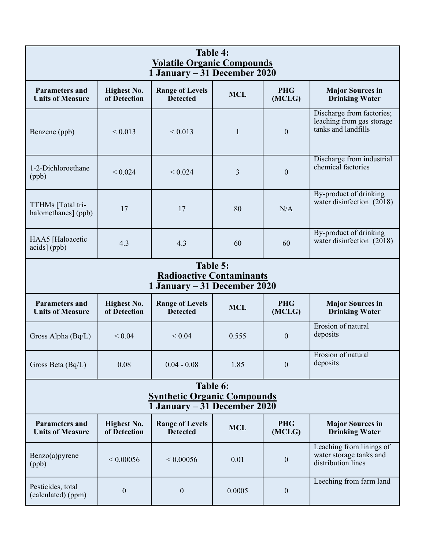| Table 4:<br><b>Volatile Organic Compounds</b><br>1 January – 31 December 2020  |                                    |                                           |              |                      |                                                                               |  |  |
|--------------------------------------------------------------------------------|------------------------------------|-------------------------------------------|--------------|----------------------|-------------------------------------------------------------------------------|--|--|
| <b>Parameters and</b><br><b>Units of Measure</b>                               | <b>Highest No.</b><br>of Detection | <b>Range of Levels</b><br><b>Detected</b> | <b>MCL</b>   | <b>PHG</b><br>(MCLG) | <b>Major Sources in</b><br><b>Drinking Water</b>                              |  |  |
| Benzene (ppb)                                                                  | < 0.013                            | < 0.013                                   | $\mathbf{1}$ | $\theta$             | Discharge from factories;<br>leaching from gas storage<br>tanks and landfills |  |  |
| 1-2-Dichloroethane<br>(ppb)                                                    | < 0.024                            | < 0.024                                   | 3            | $\boldsymbol{0}$     | Discharge from industrial<br>chemical factories                               |  |  |
| TTHMs [Total tri-<br>halomethanes] (ppb)                                       | 17                                 | 17                                        | 80           | N/A                  | By-product of drinking<br>water disinfection (2018)                           |  |  |
| HAA5 [Haloacetic<br>acids] (ppb)                                               | 4.3                                | 4.3                                       | 60           | 60                   | By-product of drinking<br>water disinfection (2018)                           |  |  |
| Table 5:<br><b>Radioactive Contaminants</b><br>1 January – 31 December 2020    |                                    |                                           |              |                      |                                                                               |  |  |
| <b>Parameters and</b><br><b>Units of Measure</b>                               | <b>Highest No.</b><br>of Detection | <b>Range of Levels</b><br>Detected        | <b>MCL</b>   | <b>PHG</b><br>(MCLG) | <b>Major Sources in</b><br><b>Drinking Water</b>                              |  |  |
| Gross Alpha (Bq/L)                                                             | ${}< 0.04$                         | ${}< 0.04$                                | 0.555        | $\boldsymbol{0}$     | Erosion of natural<br>deposits                                                |  |  |
| Gross Beta (Bq/L)                                                              | 0.08                               | $0.04 - 0.08$                             | 1.85         | $\boldsymbol{0}$     | Erosion of natural<br>deposits                                                |  |  |
| Table 6:<br><b>Synthetic Organic Compounds</b><br>1 January – 31 December 2020 |                                    |                                           |              |                      |                                                                               |  |  |
| <b>Parameters and</b><br><b>Units of Measure</b>                               | <b>Highest No.</b><br>of Detection | <b>Range of Levels</b><br><b>Detected</b> | <b>MCL</b>   | <b>PHG</b><br>(MCLG) | <b>Major Sources in</b><br><b>Drinking Water</b>                              |  |  |
| Benzo(a)pyrene<br>(ppb)                                                        | ${}< 0.00056$                      | ${}< 0.00056$                             | 0.01         | $\boldsymbol{0}$     | Leaching from linings of<br>water storage tanks and<br>distribution lines     |  |  |
| Pesticides, total<br>(calculated) (ppm)                                        | $\boldsymbol{0}$                   | $\boldsymbol{0}$                          | 0.0005       | $\boldsymbol{0}$     | Leeching from farm land                                                       |  |  |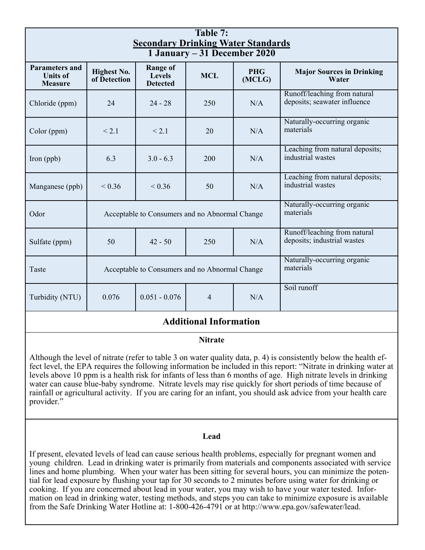| Table 7:<br><b>Secondary Drinking Water Standards</b><br>1 January – 31 December 2020 |                                                |                                                |                                          |                      |                                                              |  |
|---------------------------------------------------------------------------------------|------------------------------------------------|------------------------------------------------|------------------------------------------|----------------------|--------------------------------------------------------------|--|
| <b>Parameters and</b><br><b>Units of</b><br><b>Measure</b>                            | <b>Highest No.</b><br>of Detection             | Range of<br><b>Levels</b><br><b>Detected</b>   | <b>MCL</b>                               | <b>PHG</b><br>(MCLG) | <b>Major Sources in Drinking</b><br>Water                    |  |
| Chloride (ppm)                                                                        | 24                                             | $24 - 28$                                      | 250                                      | N/A                  | Runoff/leaching from natural<br>deposits; seawater influence |  |
| Color (ppm)                                                                           | < 2.1                                          | < 2.1                                          | 20                                       | N/A                  | Naturally-occurring organic<br>materials                     |  |
| Iron (ppb)                                                                            | 6.3                                            | $3.0 - 6.3$                                    | 200                                      | N/A                  | Leaching from natural deposits;<br>industrial wastes         |  |
| Manganese (ppb)                                                                       | ${}< 0.36$                                     | ${}< 0.36$                                     | 50                                       | N/A                  | Leaching from natural deposits;<br>industrial wastes         |  |
| Odor                                                                                  |                                                | Acceptable to Consumers and no Abnormal Change | Naturally-occurring organic<br>materials |                      |                                                              |  |
| Sulfate (ppm)                                                                         | 50                                             | $42 - 50$                                      | 250                                      | N/A                  | Runoff/leaching from natural<br>deposits; industrial wastes  |  |
| Taste                                                                                 | Acceptable to Consumers and no Abnormal Change |                                                |                                          |                      | Naturally-occurring organic<br>materials                     |  |
| Turbidity (NTU)                                                                       | 0.076                                          | $0.051 - 0.076$                                | $\overline{4}$                           | N/A                  | Soil runoff                                                  |  |
| <b>Additional Information</b>                                                         |                                                |                                                |                                          |                      |                                                              |  |

# **Nitrate**

Although the level of nitrate (refer to table 3 on water quality data, p. 4) is consistently below the health effect level, the EPA requires the following information be included in this report: "Nitrate in drinking water at levels above 10 ppm is a health risk for infants of less than 6 months of age. High nitrate levels in drinking water can cause blue-baby syndrome. Nitrate levels may rise quickly for short periods of time because of rainfall or agricultural activity. If you are caring for an infant, you should ask advice from your health care provider."

#### **Lead**

If present, elevated levels of lead can cause serious health problems, especially for pregnant women and young children. Lead in drinking water is primarily from materials and components associated with service lines and home plumbing. When your water has been sitting for several hours, you can minimize the potential for lead exposure by flushing your tap for 30 seconds to 2 minutes before using water for drinking or cooking. If you are concerned about lead in your water, you may wish to have your water tested. Information on lead in drinking water, testing methods, and steps you can take to minimize exposure is available from the Safe Drinking Water Hotline at: 1-800-426-4791 or at http://www.epa.gov/safewater/lead.